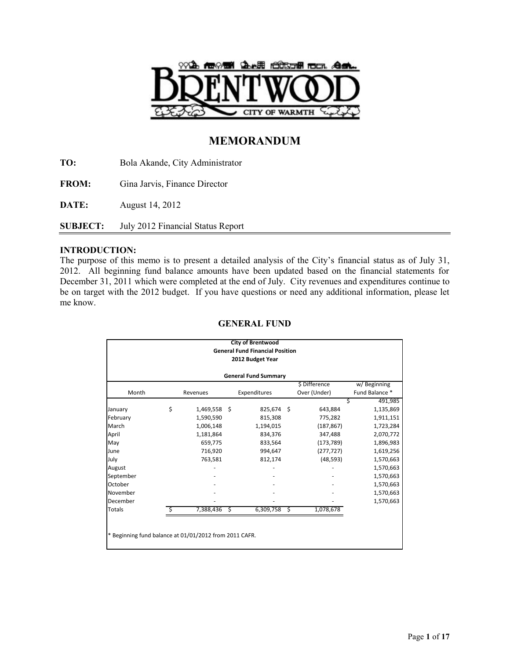

# **MEMORANDUM**

**TO:** Bola Akande, City Administrator

**FROM:** Gina Jarvis, Finance Director

**DATE:** August 14, 2012

**SUBJECT:** July 2012 Financial Status Report

## **INTRODUCTION:**

The purpose of this memo is to present a detailed analysis of the City's financial status as of July 31, 2012. All beginning fund balance amounts have been updated based on the financial statements for December 31, 2011 which were completed at the end of July. City revenues and expenditures continue to be on target with the 2012 budget. If you have questions or need any additional information, please let me know.

|                                                                     |                              |              |   | <b>City of Brentwood</b>               |   |            |           |  |  |  |  |  |  |  |
|---------------------------------------------------------------------|------------------------------|--------------|---|----------------------------------------|---|------------|-----------|--|--|--|--|--|--|--|
|                                                                     |                              |              |   | <b>General Fund Financial Position</b> |   |            |           |  |  |  |  |  |  |  |
|                                                                     |                              |              |   | 2012 Budget Year                       |   |            |           |  |  |  |  |  |  |  |
|                                                                     |                              |              |   | <b>General Fund Summary</b>            |   |            |           |  |  |  |  |  |  |  |
|                                                                     | \$ Difference<br>w/Beginning |              |   |                                        |   |            |           |  |  |  |  |  |  |  |
| Over (Under)<br>Fund Balance *<br>Month<br>Expenditures<br>Revenues |                              |              |   |                                        |   |            |           |  |  |  |  |  |  |  |
|                                                                     |                              |              |   |                                        |   |            | 491,985   |  |  |  |  |  |  |  |
| January                                                             | \$                           | 1,469,558 \$ |   | 825,674 \$                             |   | 643,884    | 1,135,869 |  |  |  |  |  |  |  |
| February                                                            |                              | 1,590,590    |   | 815,308                                |   | 775,282    | 1,911,151 |  |  |  |  |  |  |  |
| March                                                               |                              | 1,006,148    |   | 1,194,015                              |   | (187, 867) | 1,723,284 |  |  |  |  |  |  |  |
| April                                                               |                              | 1,181,864    |   | 834,376                                |   | 347,488    | 2,070,772 |  |  |  |  |  |  |  |
| May                                                                 |                              | 659,775      |   | 833,564                                |   | (173, 789) | 1,896,983 |  |  |  |  |  |  |  |
| June                                                                |                              | 716,920      |   | 994,647                                |   | (277, 727) | 1,619,256 |  |  |  |  |  |  |  |
| July                                                                |                              | 763,581      |   | 812,174                                |   | (48, 593)  | 1,570,663 |  |  |  |  |  |  |  |
| August                                                              |                              |              |   |                                        |   |            | 1,570,663 |  |  |  |  |  |  |  |
| September                                                           |                              |              |   |                                        |   |            | 1,570,663 |  |  |  |  |  |  |  |
| October                                                             |                              |              |   |                                        |   |            | 1,570,663 |  |  |  |  |  |  |  |
| November                                                            |                              |              |   |                                        |   |            | 1,570,663 |  |  |  |  |  |  |  |
| December                                                            |                              |              |   |                                        |   |            | 1,570,663 |  |  |  |  |  |  |  |
| Totals                                                              | Ŝ                            | 7,388,436    | S | 6,309,758                              | Ś | 1,078,678  |           |  |  |  |  |  |  |  |
|                                                                     |                              |              |   |                                        |   |            |           |  |  |  |  |  |  |  |
|                                                                     |                              |              |   |                                        |   |            |           |  |  |  |  |  |  |  |

## **GENERAL FUND**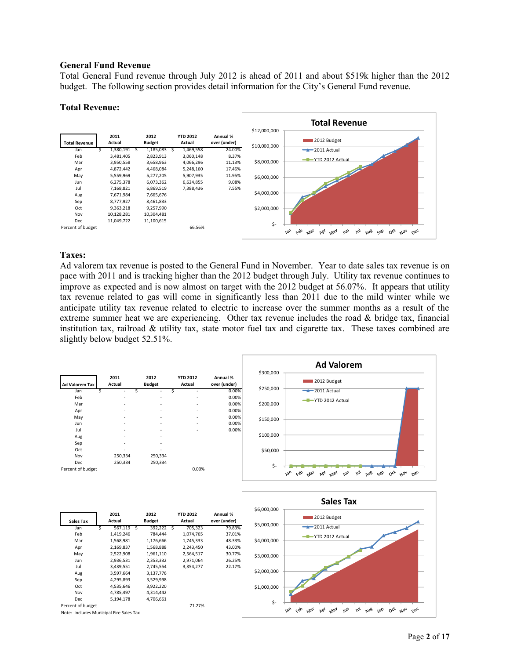#### **General Fund Revenue**

Total General Fund revenue through July 2012 is ahead of 2011 and about \$519k higher than the 2012 budget. The following section provides detail information for the City's General Fund revenue.

#### **Total Revenue:**



## **Taxes:**

Ad valorem tax revenue is posted to the General Fund in November. Year to date sales tax revenue is on pace with 2011 and is tracking higher than the 2012 budget through July. Utility tax revenue continues to improve as expected and is now almost on target with the 2012 budget at 56.07%. It appears that utility tax revenue related to gas will come in significantly less than 2011 due to the mild winter while we anticipate utility tax revenue related to electric to increase over the summer months as a result of the extreme summer heat we are experiencing. Other tax revenue includes the road  $\&$  bridge tax, financial institution tax, railroad & utility tax, state motor fuel tax and cigarette tax. These taxes combined are slightly below budget 52.51%.

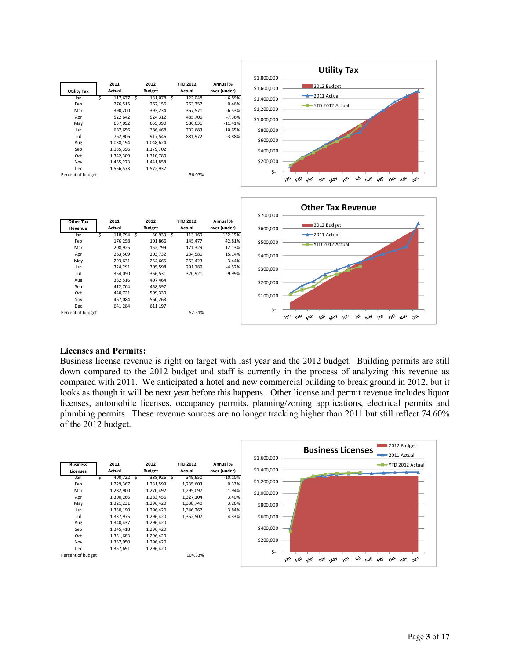



#### **Licenses and Permits:**

Business license revenue is right on target with last year and the 2012 budget. Building permits are still down compared to the 2012 budget and staff is currently in the process of analyzing this revenue as compared with 2011. We anticipated a hotel and new commercial building to break ground in 2012, but it looks as though it will be next year before this happens. Other license and permit revenue includes liquor licenses, automobile licenses, occupancy permits, planning/zoning applications, electrical permits and plumbing permits. These revenue sources are no longer tracking higher than 2011 but still reflect 74.60% of the 2012 budget.

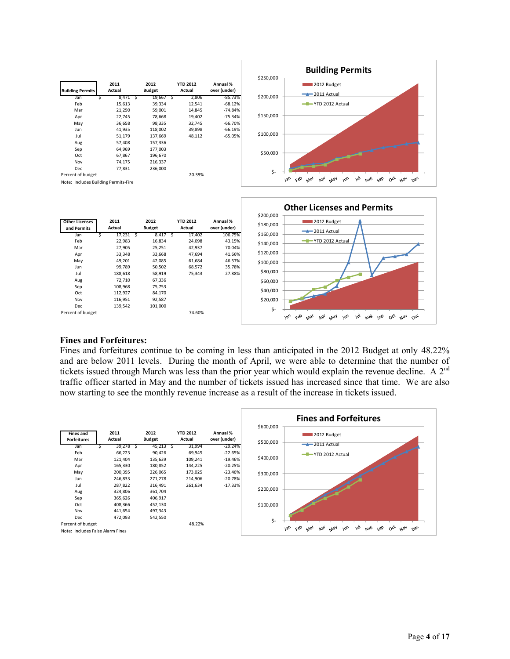



#### **Fines and Forfeitures:**

Fines and forfeitures continue to be coming in less than anticipated in the 2012 Budget at only 48.22% and are below 2011 levels. During the month of April, we were able to determine that the number of tickets issued through March was less than the prior year which would explain the revenue decline. A  $2^{nd}$ traffic officer started in May and the number of tickets issued has increased since that time. We are also now starting to see the monthly revenue increase as a result of the increase in tickets issued.

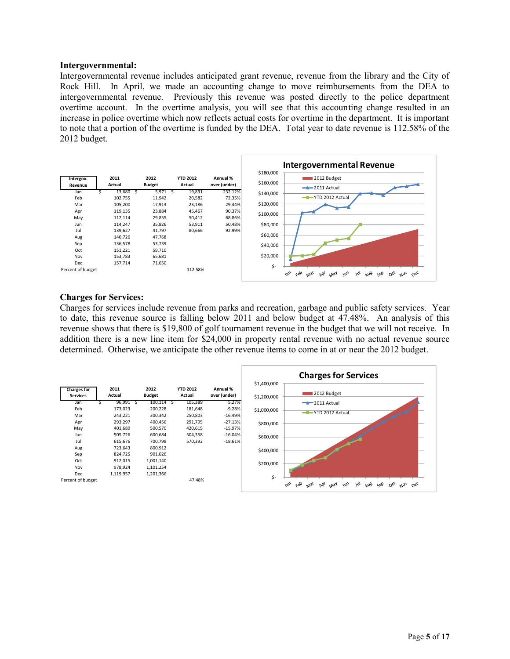#### **Intergovernmental:**

Intergovernmental revenue includes anticipated grant revenue, revenue from the library and the City of Rock Hill. In April, we made an accounting change to move reimbursements from the DEA to intergovernmental revenue. Previously this revenue was posted directly to the police department overtime account. In the overtime analysis, you will see that this accounting change resulted in an increase in police overtime which now reflects actual costs for overtime in the department. It is important to note that a portion of the overtime is funded by the DEA. Total year to date revenue is 112.58% of the 2012 budget.



#### **Charges for Services:**

Charges for services include revenue from parks and recreation, garbage and public safety services. Year to date, this revenue source is falling below 2011 and below budget at 47.48%. An analysis of this revenue shows that there is \$19,800 of golf tournament revenue in the budget that we will not receive. In addition there is a new line item for \$24,000 in property rental revenue with no actual revenue source determined. Otherwise, we anticipate the other revenue items to come in at or near the 2012 budget.

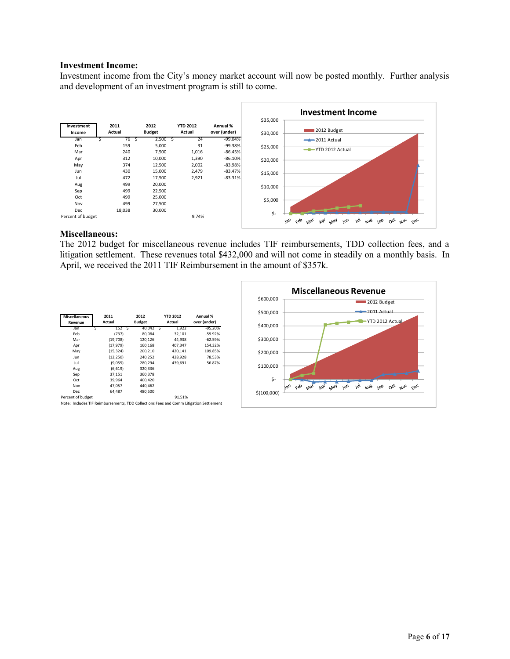#### **Investment Income:**

Investment income from the City's money market account will now be posted monthly. Further analysis and development of an investment program is still to come.



#### **Miscellaneous:**

The 2012 budget for miscellaneous revenue includes TIF reimbursements, TDD collection fees, and a litigation settlement. These revenues total \$432,000 and will not come in steadily on a monthly basis. In April, we received the 2011 TIF Reimbursement in the amount of \$357k.

| <b>Miscellaneous</b><br>Revenue | 2011<br>Actual | 2012<br><b>Budget</b> |     | <b>YTD 2012</b><br>Actual | Annual %<br>over (under) |
|---------------------------------|----------------|-----------------------|-----|---------------------------|--------------------------|
| Jan                             | 152S           | 40,042                | - 5 | 1,922                     | $-95.20%$                |
| Feb                             | (737)          | 80.084                |     | 32,101                    | $-59.92%$                |
| Mar                             | (19,708)       | 120,126               |     | 44.938                    | $-62.59%$                |
| Apr                             | (17, 979)      | 160,168               |     | 407,347                   | 154.32%                  |
| May                             | (15, 324)      | 200.210               |     | 420.141                   | 109.85%                  |
| Jun                             | (12, 250)      | 240,252               |     | 428,928                   | 78.53%                   |
| Jul                             | (9,055)        | 280,294               |     | 439,691                   | 56.87%                   |
| Aug                             | (6,619)        | 320,336               |     |                           |                          |
| Sep                             | 37,151         | 360,378               |     |                           |                          |
| Oct                             | 39,964         | 400.420               |     |                           |                          |
| Nov                             | 47,057         | 440,462               |     |                           |                          |
| Dec                             | 64.487         | 480,500               |     |                           |                          |
| Percent of budget               |                |                       |     | 91.51%                    |                          |

Note: Includes TIF Reimbursements, TDD Collections Fees and Comm Litigation Settlement

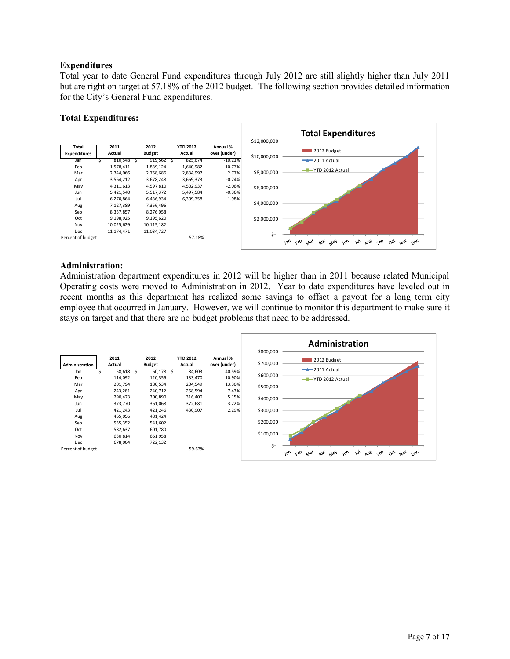## **Expenditures**

Total year to date General Fund expenditures through July 2012 are still slightly higher than July 2011 but are right on target at 57.18% of the 2012 budget. The following section provides detailed information for the City's General Fund expenditures.

## **Total Expenditures:**



## **Administration:**

Administration department expenditures in 2012 will be higher than in 2011 because related Municipal Operating costs were moved to Administration in 2012. Year to date expenditures have leveled out in recent months as this department has realized some savings to offset a payout for a long term city employee that occurred in January. However, we will continue to monitor this department to make sure it stays on target and that there are no budget problems that need to be addressed.

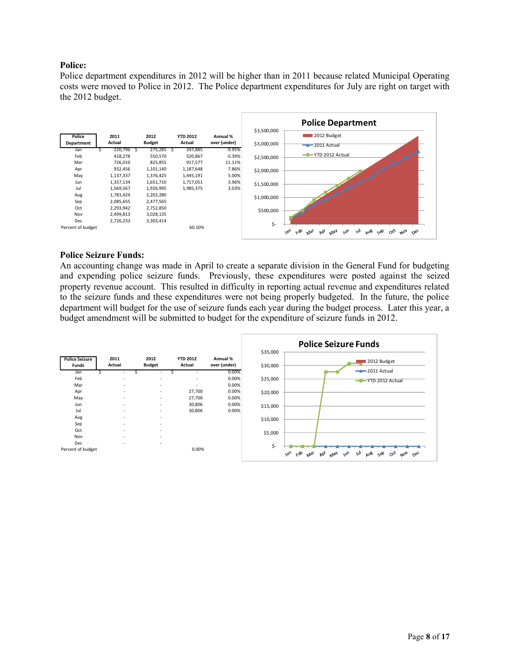## **Police:**

Police department expenditures in 2012 will be higher than in 2011 because related Municipal Operating costs were moved to Police in 2012. The Police department expenditures for July are right on target with the 2012 budget.



#### **Police Seizure Funds:**

An accounting change was made in April to create a separate division in the General Fund for budgeting and expending police seizure funds. Previously, these expenditures were posted against the seized property revenue account. This resulted in difficulty in reporting actual revenue and expenditures related to the seizure funds and these expenditures were not being properly budgeted. In the future, the police department will budget for the use of seizure funds each year during the budget process. Later this year, a budget amendment will be submitted to budget for the expenditure of seizure funds in 2012.

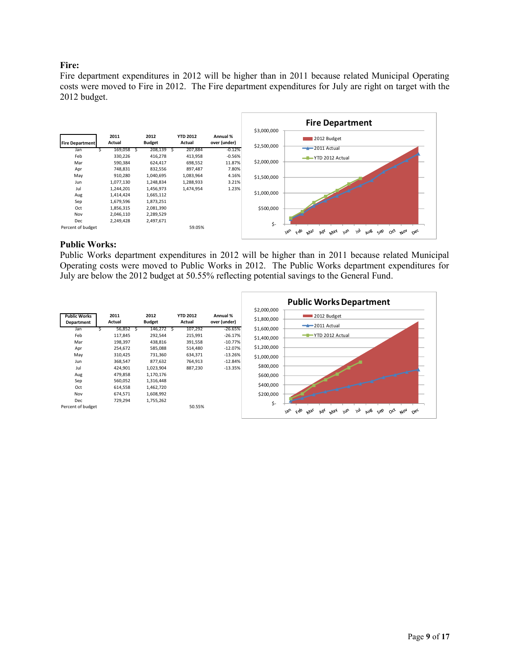## **Fire:**

Fire department expenditures in 2012 will be higher than in 2011 because related Municipal Operating costs were moved to Fire in 2012. The Fire department expenditures for July are right on target with the 2012 budget.



#### **Public Works:**

Public Works department expenditures in 2012 will be higher than in 2011 because related Municipal Operating costs were moved to Public Works in 2012. The Public Works department expenditures for July are below the 2012 budget at 50.55% reflecting potential savings to the General Fund.

|                                   |                |                       |                           |                          |                            | <b>Public Works Department</b>                                                                                       |
|-----------------------------------|----------------|-----------------------|---------------------------|--------------------------|----------------------------|----------------------------------------------------------------------------------------------------------------------|
| <b>Public Works</b><br>Department | 2011<br>Actual | 2012<br><b>Budget</b> | <b>YTD 2012</b><br>Actual | Annual %<br>over (under) | \$2,000,000<br>\$1,800,000 | 2012 Budget<br>$-2011$ Actual                                                                                        |
| Jan                               | 56,852         | 146,272               | 107,292                   | $-26.65%$                | \$1,600,000                |                                                                                                                      |
| Feb                               | 117,845        | 292,544               | 215,991                   | $-26.17%$                | \$1,400,000                | -T-YTD 2012 Actual                                                                                                   |
| Mar                               | 198,397        | 438,816               | 391,558                   | $-10.77%$                |                            |                                                                                                                      |
| Apr                               | 254,672        | 585,088               | 514,480                   | $-12.07%$                | \$1,200,000                |                                                                                                                      |
| May                               | 310,425        | 731,360               | 634,371                   | $-13.26%$                | \$1,000,000                |                                                                                                                      |
| Jun                               | 368,547        | 877,632               | 764,913                   | $-12.84%$                |                            |                                                                                                                      |
| Jul                               | 424,901        | 1,023,904             | 887,230                   | $-13.35%$                | \$800,000                  |                                                                                                                      |
| Aug                               | 479,858        | 1,170,176             |                           |                          | \$600,000                  |                                                                                                                      |
| Sep                               | 560,052        | 1,316,448             |                           |                          |                            |                                                                                                                      |
| Oct                               | 614,558        | 1,462,720             |                           |                          | \$400,000                  |                                                                                                                      |
| Nov                               | 674,571        | 1,608,992             |                           |                          | \$200,000                  |                                                                                                                      |
| Dec                               | 729,294        | 1,755,262             |                           |                          | \$-                        |                                                                                                                      |
| Percent of budget                 |                |                       | 50.55%                    |                          |                            | çèo<br>$180^{\circ}$<br>$\omega_{\nu}$<br><b>Pb</b><br>May<br>m<br>aus<br>$\mu_{04}$<br>حوه<br>οČ<br>$O_{6c}$<br>Mai |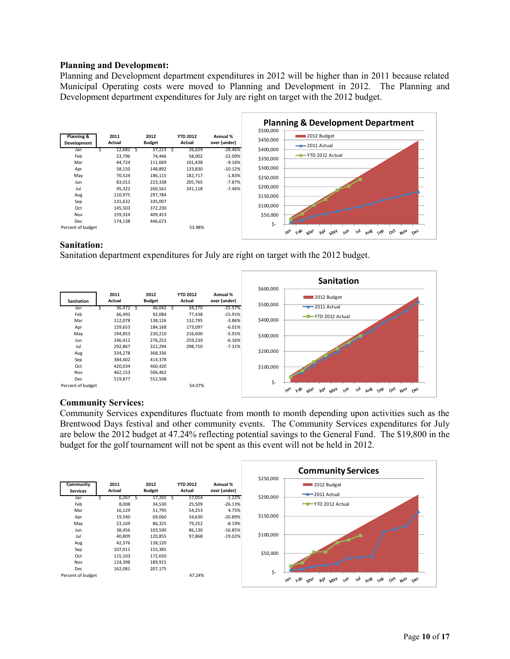## **Planning and Development:**

Planning and Development department expenditures in 2012 will be higher than in 2011 because related Municipal Operating costs were moved to Planning and Development in 2012. The Planning and Development department expenditures for July are right on target with the 2012 budget.



## **Sanitation:**

Sanitation department expenditures for July are right on target with the 2012 budget.



## **Community Services:**

Community Services expenditures fluctuate from month to month depending upon activities such as the Brentwood Days festival and other community events. The Community Services expenditures for July are below the 2012 budget at 47.24% reflecting potential savings to the General Fund. The \$19,800 in the budget for the golf tournament will not be spent as this event will not be held in 2012.

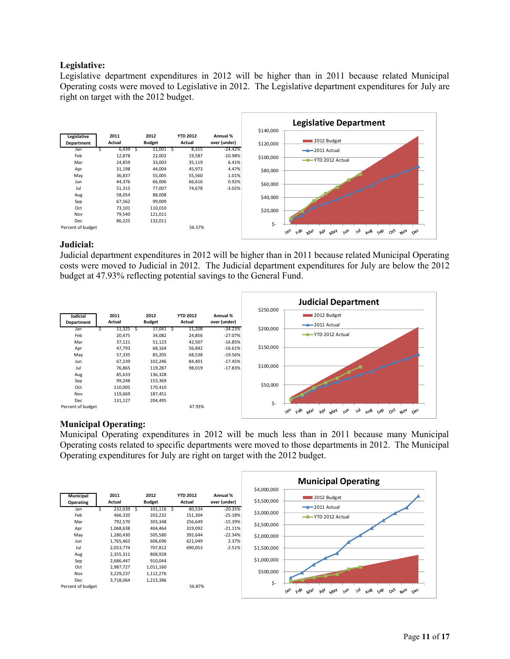## **Legislative:**

Legislative department expenditures in 2012 will be higher than in 2011 because related Municipal Operating costs were moved to Legislative in 2012. The Legislative department expenditures for July are right on target with the 2012 budget.



## **Judicial:**

Judicial department expenditures in 2012 will be higher than in 2011 because related Municipal Operating costs were moved to Judicial in 2012. The Judicial department expenditures for July are below the 2012 budget at 47.93% reflecting potential savings to the General Fund.



## **Municipal Operating:**

Municipal Operating expenditures in 2012 will be much less than in 2011 because many Municipal Operating costs related to specific departments were moved to those departments in 2012. The Municipal Operating expenditures for July are right on target with the 2012 budget.

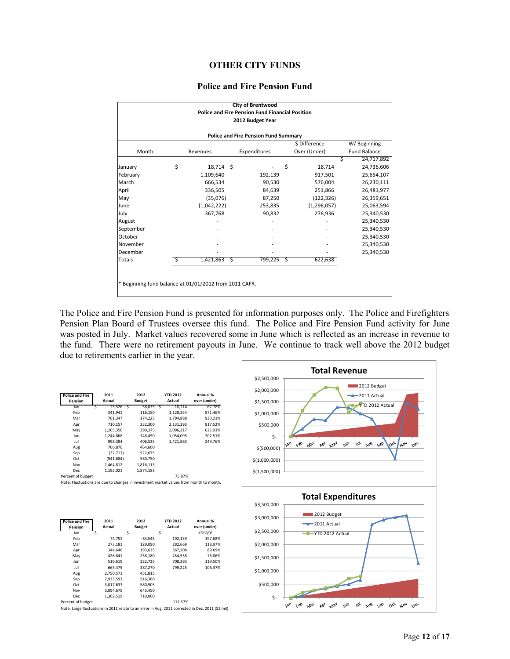## **OTHER CITY FUNDS**

#### **Police and Fire Pension Fund**

| 2012 Budget Year<br><b>Police and Fire Pension Fund Summary</b><br>\$ Difference<br>Over (Under)<br>Month<br>Expenditures<br>Revenues<br>S<br>\$<br>\$<br>18,714 \$<br>18,714<br>January<br>February<br>1,109,640<br>192,139<br>917,501<br>March<br>666,534<br>90,530<br>576,004<br>April<br>336,505<br>84,639<br>251,866<br>May<br>(35,076)<br>87,250<br>(122, 326)<br>(1,042,222)<br>(1, 296, 057)<br>June<br>253,835<br>July<br>367,768<br>90,832<br>276,936<br>August<br>September<br>October<br>November<br>December<br>1,421,863<br>Totals<br>S<br>799,225<br>622,638<br>-\$<br>-S |            |                     |  |  |  | <b>City of Brentwood</b><br><b>Police and Fire Pension Fund Financial Position</b> |  |  |  |  |  |  |  |  |
|------------------------------------------------------------------------------------------------------------------------------------------------------------------------------------------------------------------------------------------------------------------------------------------------------------------------------------------------------------------------------------------------------------------------------------------------------------------------------------------------------------------------------------------------------------------------------------------|------------|---------------------|--|--|--|------------------------------------------------------------------------------------|--|--|--|--|--|--|--|--|
|                                                                                                                                                                                                                                                                                                                                                                                                                                                                                                                                                                                          |            |                     |  |  |  |                                                                                    |  |  |  |  |  |  |  |  |
|                                                                                                                                                                                                                                                                                                                                                                                                                                                                                                                                                                                          |            |                     |  |  |  |                                                                                    |  |  |  |  |  |  |  |  |
|                                                                                                                                                                                                                                                                                                                                                                                                                                                                                                                                                                                          |            | W/Beginning         |  |  |  |                                                                                    |  |  |  |  |  |  |  |  |
|                                                                                                                                                                                                                                                                                                                                                                                                                                                                                                                                                                                          |            | <b>Fund Balance</b> |  |  |  |                                                                                    |  |  |  |  |  |  |  |  |
|                                                                                                                                                                                                                                                                                                                                                                                                                                                                                                                                                                                          | 24,717,892 |                     |  |  |  |                                                                                    |  |  |  |  |  |  |  |  |
|                                                                                                                                                                                                                                                                                                                                                                                                                                                                                                                                                                                          | 24,736,606 |                     |  |  |  |                                                                                    |  |  |  |  |  |  |  |  |
|                                                                                                                                                                                                                                                                                                                                                                                                                                                                                                                                                                                          | 25,654,107 |                     |  |  |  |                                                                                    |  |  |  |  |  |  |  |  |
|                                                                                                                                                                                                                                                                                                                                                                                                                                                                                                                                                                                          | 26,230,111 |                     |  |  |  |                                                                                    |  |  |  |  |  |  |  |  |
|                                                                                                                                                                                                                                                                                                                                                                                                                                                                                                                                                                                          | 26,481,977 |                     |  |  |  |                                                                                    |  |  |  |  |  |  |  |  |
|                                                                                                                                                                                                                                                                                                                                                                                                                                                                                                                                                                                          | 26,359,651 |                     |  |  |  |                                                                                    |  |  |  |  |  |  |  |  |
|                                                                                                                                                                                                                                                                                                                                                                                                                                                                                                                                                                                          | 25,063,594 |                     |  |  |  |                                                                                    |  |  |  |  |  |  |  |  |
|                                                                                                                                                                                                                                                                                                                                                                                                                                                                                                                                                                                          | 25,340,530 |                     |  |  |  |                                                                                    |  |  |  |  |  |  |  |  |
|                                                                                                                                                                                                                                                                                                                                                                                                                                                                                                                                                                                          | 25,340,530 |                     |  |  |  |                                                                                    |  |  |  |  |  |  |  |  |
|                                                                                                                                                                                                                                                                                                                                                                                                                                                                                                                                                                                          | 25,340,530 |                     |  |  |  |                                                                                    |  |  |  |  |  |  |  |  |
|                                                                                                                                                                                                                                                                                                                                                                                                                                                                                                                                                                                          | 25,340,530 |                     |  |  |  |                                                                                    |  |  |  |  |  |  |  |  |
|                                                                                                                                                                                                                                                                                                                                                                                                                                                                                                                                                                                          | 25,340,530 |                     |  |  |  |                                                                                    |  |  |  |  |  |  |  |  |
|                                                                                                                                                                                                                                                                                                                                                                                                                                                                                                                                                                                          | 25,340,530 |                     |  |  |  |                                                                                    |  |  |  |  |  |  |  |  |
|                                                                                                                                                                                                                                                                                                                                                                                                                                                                                                                                                                                          |            |                     |  |  |  |                                                                                    |  |  |  |  |  |  |  |  |
|                                                                                                                                                                                                                                                                                                                                                                                                                                                                                                                                                                                          |            |                     |  |  |  |                                                                                    |  |  |  |  |  |  |  |  |
|                                                                                                                                                                                                                                                                                                                                                                                                                                                                                                                                                                                          |            |                     |  |  |  |                                                                                    |  |  |  |  |  |  |  |  |
| * Beginning fund balance at 01/01/2012 from 2011 CAFR.                                                                                                                                                                                                                                                                                                                                                                                                                                                                                                                                   |            |                     |  |  |  |                                                                                    |  |  |  |  |  |  |  |  |

The Police and Fire Pension Fund is presented for information purposes only. The Police and Firefighters Pension Plan Board of Trustees oversee this fund. The Police and Fire Pension Fund activity for June was posted in July. Market values recovered some in June which is reflected as an increase in revenue to the fund. There were no retirement payouts in June. We continue to track well above the 2012 budget due to retirements earlier in the year.

| <b>Police and Fire</b><br>Pension |   | 2011<br>Actual |   | 2012<br><b>Budget</b> |   | <b>YTD 2012</b><br>Actual | Annual %<br>over (under) |
|-----------------------------------|---|----------------|---|-----------------------|---|---------------------------|--------------------------|
| Jan                               | Ś | 25,526         | Ś | 58.075                | Ŝ | 18.714                    | $-67.78%$                |
| Feb                               |   | 341.941        |   | 116.150               |   | 1.128.354                 | 871.46%                  |
| Mar                               |   | 761.347        |   | 174.225               |   | 1.794.888                 | 930.21%                  |
| Apr                               |   | 710,157        |   | 232,300               |   | 2,131,393                 | 817.52%                  |
| May                               |   | 1,265,356      |   | 290,375               |   | 2,096,317                 | 621.93%                  |
| Jun                               |   | 1.244.868      |   | 348.450               |   | 1.054.095                 | 202.51%                  |
| Jul                               |   | 998.384        |   | 406.525               |   | 1.421.863                 | 249.76%                  |
| Aug                               |   | 766,870        |   | 464.600               |   |                           |                          |
| Sep                               |   | (32.717)       |   | 522.675               |   |                           |                          |
| Oct                               |   | (941, 684)     |   | 580,750               |   |                           |                          |
| Nov                               |   | 1.464.812      |   | 1,816,113             |   |                           |                          |
| <b>Dec</b>                        |   | 1,192,021      |   | 1,874,183             |   |                           |                          |
| Percent of budget                 |   |                |   |                       |   | 75.87%                    |                          |

Note: Fluctuations are due to changes in investment market values from month to month.

| <b>Police and Fire</b><br>Pension | 2011<br>Actual | 2012<br><b>Budget</b> | <b>YTD 2012</b><br>Actual | Annual %<br>over (under) |
|-----------------------------------|----------------|-----------------------|---------------------------|--------------------------|
| Jan                               | Ś<br>٠         | Ś<br>۰                | Ś<br>۰                    | #DIV/0!                  |
| Feb                               | 74.752         | 64,545                | 192,139                   | 197.68%                  |
| Mar                               | 273.181        | 129.090               | 282.669                   | 118.97%                  |
| Apr                               | 344.646        | 193,635               | 367,308                   | 89.69%                   |
| May                               | 426.841        | 258,180               | 454.558                   | 76.06%                   |
| Jun                               | 510.619        | 322.725               | 708.393                   | 119.50%                  |
| Jul                               | 663,475        | 387,270               | 799,225                   | 106.37%                  |
| Aug                               | 2.750.571      | 451.815               |                           |                          |
| Sep                               | 2,933,593      | 516,360               |                           |                          |
| Oct                               | 3.017.637      | 580.905               |                           |                          |
| Nov                               | 3.094.675      | 645.450               |                           |                          |
| Dec.                              | 1.302.519      | 710.000               |                           |                          |
| Percent of budget                 |                |                       | 112.57%                   |                          |

Note: Large fluctuations in 2011 relate to an error in Aug. 2011 corrected in Dec. 2011 (\$2 mil)

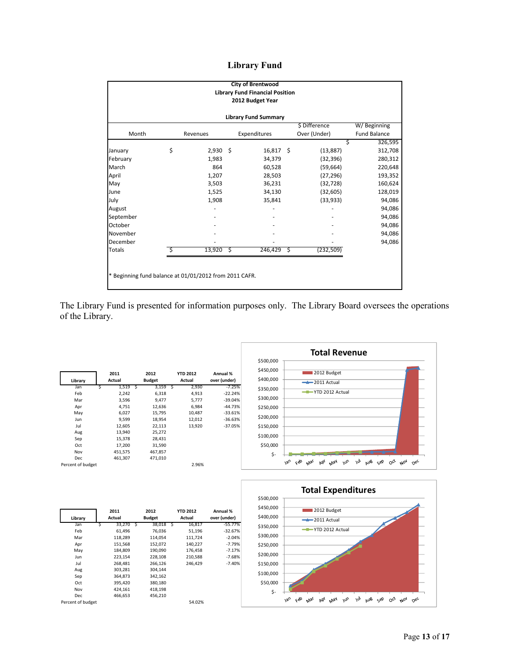## **Library Fund**

| <b>City of Brentwood</b><br><b>Library Fund Financial Position</b><br>2012 Budget Year<br><b>Library Fund Summary</b> |    |            |   |              |     |              |                     |  |  |  |
|-----------------------------------------------------------------------------------------------------------------------|----|------------|---|--------------|-----|--------------|---------------------|--|--|--|
|                                                                                                                       |    |            |   |              |     |              |                     |  |  |  |
| Month                                                                                                                 |    | Revenues   |   | Expenditures |     | Over (Under) | <b>Fund Balance</b> |  |  |  |
|                                                                                                                       |    |            |   |              |     |              | 326,595<br>\$       |  |  |  |
| January                                                                                                               | \$ | $2,930$ \$ |   | $16,817$ \$  |     | (13, 887)    | 312,708             |  |  |  |
| February                                                                                                              |    | 1,983      |   | 34,379       |     | (32, 396)    | 280,312             |  |  |  |
| March                                                                                                                 |    | 864        |   | 60,528       |     | (59, 664)    | 220,648             |  |  |  |
| April                                                                                                                 |    | 1,207      |   | 28,503       |     | (27, 296)    | 193,352             |  |  |  |
| May                                                                                                                   |    | 3,503      |   | 36,231       |     | (32, 728)    | 160,624             |  |  |  |
| June                                                                                                                  |    | 1,525      |   | 34,130       |     | (32, 605)    | 128,019             |  |  |  |
| July                                                                                                                  |    | 1,908      |   | 35,841       |     | (33, 933)    | 94,086              |  |  |  |
| August                                                                                                                |    |            |   |              |     |              | 94,086              |  |  |  |
| September                                                                                                             |    |            |   |              |     |              | 94,086              |  |  |  |
| October                                                                                                               |    |            |   |              |     |              | 94,086              |  |  |  |
| November                                                                                                              |    |            |   |              |     |              | 94,086              |  |  |  |
| December                                                                                                              |    |            |   |              |     |              | 94,086              |  |  |  |
| <b>Totals</b>                                                                                                         | Ś  | 13,920     | Ŝ | 246,429      | -\$ | (232,509)    |                     |  |  |  |
| * Beginning fund balance at 01/01/2012 from 2011 CAFR.                                                                |    |            |   |              |     |              |                     |  |  |  |

The Library Fund is presented for information purposes only. The Library Board oversees the operations of the Library.

| Library           |   | 2011<br>Actual |   | 2012<br><b>Budget</b> |    | <b>YTD 2012</b><br>Actual | Annual %<br>over (under) |
|-------------------|---|----------------|---|-----------------------|----|---------------------------|--------------------------|
|                   |   |                |   |                       |    |                           |                          |
| Jan               | Ś | 1,519          | Ś | 3,159                 | ్వ | 2,930                     | $-7.25%$                 |
| Feb               |   | 2.242          |   | 6,318                 |    | 4,913                     | $-22.24%$                |
| Mar               |   | 3,596          |   | 9,477                 |    | 5,777                     | $-39.04%$                |
| Apr               |   | 4,751          |   | 12,636                |    | 6,984                     | $-44.73%$                |
| May               |   | 6,027          |   | 15,795                |    | 10,487                    | $-33.61%$                |
| Jun               |   | 9,599          |   | 18,954                |    | 12,012                    | $-36.63%$                |
| Jul               |   | 12,605         |   | 22,113                |    | 13,920                    | $-37.05%$                |
| Aug               |   | 13,940         |   | 25,272                |    |                           |                          |
| Sep               |   | 15,378         |   | 28,431                |    |                           |                          |
| Oct               |   | 17,200         |   | 31,590                |    |                           |                          |
| Nov               |   | 451,575        |   | 467,857               |    |                           |                          |
| Dec               |   | 461.307        |   | 471.010               |    |                           |                          |
| Percent of budget |   |                |   |                       |    | 2.96%                     |                          |





| Library           |   | 2011<br>Actual |   | 2012<br><b>Budget</b> | <b>YTD 2012</b><br>Actual | Annual %<br>over (under) |
|-------------------|---|----------------|---|-----------------------|---------------------------|--------------------------|
| Jan               | Ś | 33,270         | Ś | 38,018 \$             | 16,817                    | $-55.77%$                |
| Feb               |   | 61,496         |   | 76,036                | 51,196                    | $-32.67%$                |
| Mar               |   | 118,289        |   | 114.054               | 111,724                   | $-2.04%$                 |
| Apr               |   | 151,568        |   | 152,072               | 140.227                   | $-7.79%$                 |
| May               |   | 184.809        |   | 190.090               | 176.458                   | $-7.17%$                 |
| Jun               |   | 223,154        |   | 228,108               | 210,588                   | $-7.68%$                 |
| Jul               |   | 268,481        |   | 266,126               | 246.429                   | $-7.40%$                 |
| Aug               |   | 303,281        |   | 304.144               |                           |                          |
| Sep               |   | 364,873        |   | 342,162               |                           |                          |
| Oct               |   | 395,420        |   | 380,180               |                           |                          |
| Nov               |   | 424.161        |   | 418,198               |                           |                          |
| Dec               |   | 466.653        |   | 456,210               |                           |                          |
| Percent of budget |   |                |   |                       | 54.02%                    |                          |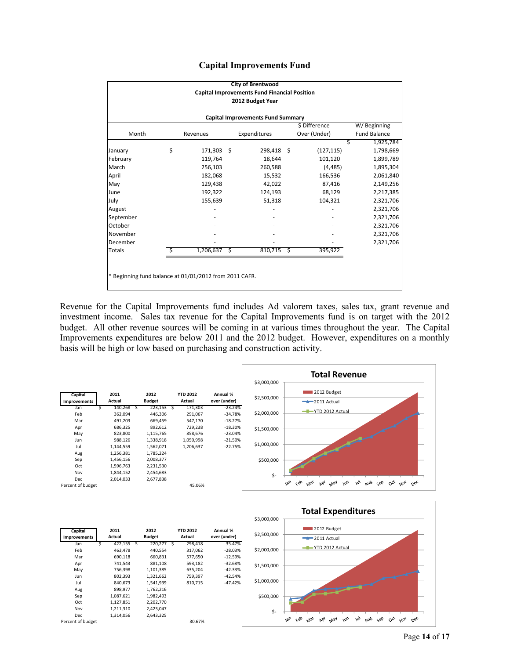|  | <b>Capital Improvements Fund</b> |  |
|--|----------------------------------|--|
|--|----------------------------------|--|

|                                                        |                  |            |    | <b>City of Brentwood</b>                            |   |              |                     |  |  |  |  |  |
|--------------------------------------------------------|------------------|------------|----|-----------------------------------------------------|---|--------------|---------------------|--|--|--|--|--|
|                                                        |                  |            |    | <b>Capital Improvements Fund Financial Position</b> |   |              |                     |  |  |  |  |  |
|                                                        | 2012 Budget Year |            |    |                                                     |   |              |                     |  |  |  |  |  |
| <b>Capital Improvements Fund Summary</b>               |                  |            |    |                                                     |   |              |                     |  |  |  |  |  |
| \$ Difference<br>W/Beginning                           |                  |            |    |                                                     |   |              |                     |  |  |  |  |  |
| Month                                                  |                  | Revenues   |    | Expenditures                                        |   | Over (Under) | <b>Fund Balance</b> |  |  |  |  |  |
|                                                        |                  |            |    |                                                     |   |              | 1,925,784<br>Ś      |  |  |  |  |  |
| January                                                | \$               | 171,303 \$ |    | 298,418 \$                                          |   | (127, 115)   | 1,798,669           |  |  |  |  |  |
| February                                               |                  | 119,764    |    | 18,644                                              |   | 101,120      | 1,899,789           |  |  |  |  |  |
| March                                                  |                  | 256,103    |    | 260,588                                             |   | (4, 485)     | 1,895,304           |  |  |  |  |  |
| April                                                  |                  | 182,068    |    | 15,532                                              |   | 166,536      | 2,061,840           |  |  |  |  |  |
| May                                                    |                  | 129,438    |    | 42,022                                              |   | 87,416       | 2,149,256           |  |  |  |  |  |
| June                                                   |                  | 192,322    |    | 124,193                                             |   | 68,129       | 2,217,385           |  |  |  |  |  |
| July                                                   |                  | 155,639    |    | 51,318                                              |   | 104,321      | 2,321,706           |  |  |  |  |  |
| August                                                 |                  |            |    |                                                     |   |              | 2,321,706           |  |  |  |  |  |
| September                                              |                  |            |    |                                                     |   |              | 2,321,706           |  |  |  |  |  |
| October                                                |                  |            |    |                                                     |   |              | 2,321,706           |  |  |  |  |  |
| November                                               |                  |            |    |                                                     |   |              | 2,321,706           |  |  |  |  |  |
| December                                               |                  |            |    |                                                     |   |              | 2,321,706           |  |  |  |  |  |
| <b>Totals</b>                                          |                  | 1,206,637  | \$ | 810,715                                             | Ŝ | 395,922      |                     |  |  |  |  |  |
|                                                        |                  |            |    |                                                     |   |              |                     |  |  |  |  |  |
|                                                        |                  |            |    |                                                     |   |              |                     |  |  |  |  |  |
| * Beginning fund balance at 01/01/2012 from 2011 CAFR. |                  |            |    |                                                     |   |              |                     |  |  |  |  |  |
|                                                        |                  |            |    |                                                     |   |              |                     |  |  |  |  |  |

Revenue for the Capital Improvements fund includes Ad valorem taxes, sales tax, grant revenue and investment income. Sales tax revenue for the Capital Improvements fund is on target with the 2012 budget. All other revenue sources will be coming in at various times throughout the year. The Capital Improvements expenditures are below 2011 and the 2012 budget. However, expenditures on a monthly basis will be high or low based on purchasing and construction activity.





| Capital             |   | 2011      |   | 2012          | <b>YTD 2012</b> | Annual %     |
|---------------------|---|-----------|---|---------------|-----------------|--------------|
| <b>Improvements</b> |   | Actual    |   | <b>Budget</b> | Actual          | over (under) |
| Jan                 | Ś | 422,155   | Ś | 220.277 S     | 298,418         | 35.47%       |
| Feb                 |   | 463,478   |   | 440,554       | 317,062         | $-28.03%$    |
| Mar                 |   | 690,118   |   | 660,831       | 577,650         | $-12.59%$    |
| Apr                 |   | 741,543   |   | 881,108       | 593,182         | $-32.68%$    |
| May                 |   | 756,398   |   | 1,101,385     | 635,204         | $-42.33%$    |
| Jun                 |   | 802,393   |   | 1,321,662     | 759,397         | $-42.54%$    |
| Jul                 |   | 840,673   |   | 1,541,939     | 810.715         | $-47.42%$    |
| Aug                 |   | 898,977   |   | 1,762,216     |                 |              |
| Sep                 |   | 1,087,621 |   | 1,982,493     |                 |              |
| Oct                 |   | 1,127,851 |   | 2,202,770     |                 |              |
| Nov                 |   | 1,211,310 |   | 2,423,047     |                 |              |
| Dec                 |   | 1,314,056 |   | 2,643,325     |                 |              |
| Percent of budget   |   |           |   |               | 30.67%          |              |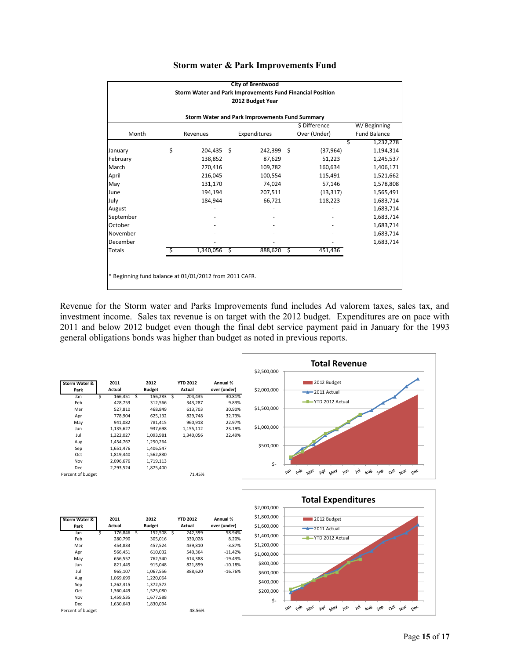|                                                           |    |            |   | <b>City of Brentwood</b> |   |              |   |                     |  |  |  |
|-----------------------------------------------------------|----|------------|---|--------------------------|---|--------------|---|---------------------|--|--|--|
| Storm Water and Park Improvements Fund Financial Position |    |            |   |                          |   |              |   |                     |  |  |  |
| 2012 Budget Year                                          |    |            |   |                          |   |              |   |                     |  |  |  |
|                                                           |    |            |   |                          |   |              |   |                     |  |  |  |
| Storm Water and Park Improvements Fund Summary            |    |            |   |                          |   |              |   |                     |  |  |  |
| \$ Difference<br>W/Beginning                              |    |            |   |                          |   |              |   |                     |  |  |  |
| Month                                                     |    | Revenues   |   | Expenditures             |   | Over (Under) |   | <b>Fund Balance</b> |  |  |  |
|                                                           |    |            |   |                          |   |              | Ś | 1,232,278           |  |  |  |
| January                                                   | \$ | 204,435 \$ |   | 242,399 \$               |   | (37, 964)    |   | 1,194,314           |  |  |  |
| February                                                  |    | 138,852    |   | 87,629                   |   | 51,223       |   | 1,245,537           |  |  |  |
| March                                                     |    | 270,416    |   | 109,782                  |   | 160,634      |   | 1,406,171           |  |  |  |
| April                                                     |    | 216,045    |   | 100,554                  |   | 115,491      |   | 1,521,662           |  |  |  |
| May                                                       |    | 131,170    |   | 74,024                   |   | 57,146       |   | 1,578,808           |  |  |  |
| June                                                      |    | 194,194    |   | 207,511                  |   | (13, 317)    |   | 1,565,491           |  |  |  |
| July                                                      |    | 184,944    |   | 66,721                   |   | 118,223      |   | 1,683,714           |  |  |  |
| August                                                    |    |            |   |                          |   |              |   | 1,683,714           |  |  |  |
| September                                                 |    |            |   |                          |   |              |   | 1,683,714           |  |  |  |
| October                                                   |    |            |   |                          |   |              |   | 1,683,714           |  |  |  |
| November                                                  |    |            |   |                          |   |              |   | 1,683,714           |  |  |  |
| December                                                  |    |            |   |                          |   |              |   | 1,683,714           |  |  |  |
| <b>Totals</b>                                             |    | 1,340,056  | Ś | 888,620                  | Ś | 451,436      |   |                     |  |  |  |
|                                                           |    |            |   |                          |   |              |   |                     |  |  |  |
|                                                           |    |            |   |                          |   |              |   |                     |  |  |  |
| * Beginning fund balance at 01/01/2012 from 2011 CAFR.    |    |            |   |                          |   |              |   |                     |  |  |  |
|                                                           |    |            |   |                          |   |              |   |                     |  |  |  |

#### **Storm water & Park Improvements Fund**

Revenue for the Storm water and Parks Improvements fund includes Ad valorem taxes, sales tax, and investment income. Sales tax revenue is on target with the 2012 budget. Expenditures are on pace with 2011 and below 2012 budget even though the final debt service payment paid in January for the 1993 general obligations bonds was higher than budget as noted in previous reports.



| Storm Water &     |   | 2011      |   | 2012          |   | <b>YTD 2012</b> | Annual %     |
|-------------------|---|-----------|---|---------------|---|-----------------|--------------|
| Park              |   | Actual    |   | <b>Budget</b> |   | Actual          | over (under) |
| Jan               | Ś | 176,846   | S | 152,508       | Ś | 242,399         | 58.94%       |
| Feb               |   | 280,790   |   | 305,016       |   | 330,028         | 8.20%        |
| Mar               |   | 454.833   |   | 457.524       |   | 439.810         | $-3.87%$     |
| Apr               |   | 566.451   |   | 610.032       |   | 540.364         | $-11.42%$    |
| May               |   | 656,557   |   | 762,540       |   | 614,388         | $-19.43%$    |
| Jun               |   | 821,445   |   | 915,048       |   | 821,899         | $-10.18%$    |
| Jul               |   | 965,107   |   | 1,067,556     |   | 888.620         | $-16.76%$    |
| Aug               |   | 1,069,699 |   | 1,220,064     |   |                 |              |
| Sep               |   | 1,262,315 |   | 1,372,572     |   |                 |              |
| Oct               |   | 1,360,449 |   | 1,525,080     |   |                 |              |
| Nov               |   | 1,459,535 |   | 1,677,588     |   |                 |              |
| Dec               |   | 1,630,643 |   | 1,830,094     |   |                 |              |
| Percent of budget |   |           |   |               |   | 48.56%          |              |

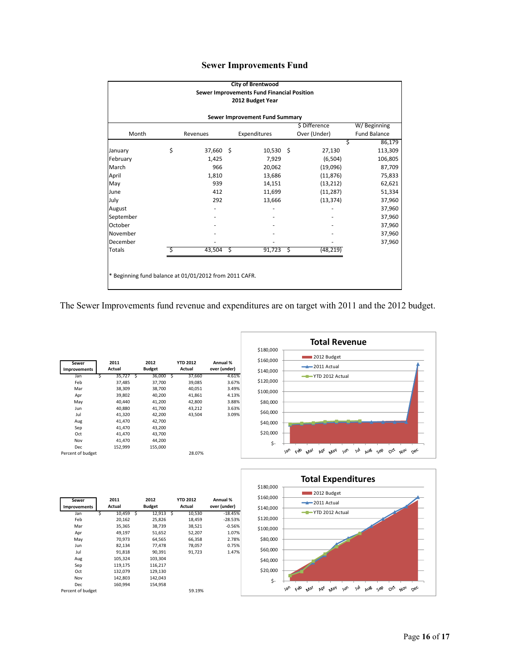|  | <b>Sewer Improvements Fund</b> |  |
|--|--------------------------------|--|
|--|--------------------------------|--|

|                                                        |    |           |     | <b>City of Brentwood</b><br>Sewer Improvements Fund Financial Position |      |               |              |  |  |  |
|--------------------------------------------------------|----|-----------|-----|------------------------------------------------------------------------|------|---------------|--------------|--|--|--|
|                                                        |    |           |     | 2012 Budget Year                                                       |      |               |              |  |  |  |
| Sewer Improvement Fund Summary                         |    |           |     |                                                                        |      |               |              |  |  |  |
|                                                        |    |           |     |                                                                        |      | \$ Difference | W/Beginning  |  |  |  |
| Month                                                  |    | Revenues  |     | Expenditures                                                           |      | Over (Under)  | Fund Balance |  |  |  |
|                                                        |    |           |     |                                                                        |      | Ś             | 86,179       |  |  |  |
| January                                                | \$ | 37,660 \$ |     | $10,530$ \$                                                            |      | 27,130        | 113,309      |  |  |  |
| February                                               |    | 1,425     |     | 7,929                                                                  |      | (6, 504)      | 106,805      |  |  |  |
| March                                                  |    | 966       |     | 20,062                                                                 |      | (19,096)      | 87,709       |  |  |  |
| April                                                  |    | 1,810     |     | 13,686                                                                 |      | (11, 876)     | 75,833       |  |  |  |
| May                                                    |    | 939       |     | 14,151                                                                 |      | (13, 212)     | 62,621       |  |  |  |
| June                                                   |    | 412       |     | 11,699                                                                 |      | (11, 287)     | 51,334       |  |  |  |
| July                                                   |    | 292       |     | 13,666                                                                 |      | (13, 374)     | 37,960       |  |  |  |
| August                                                 |    |           |     |                                                                        |      |               | 37,960       |  |  |  |
| September                                              |    |           |     |                                                                        |      |               | 37,960       |  |  |  |
| October                                                |    |           |     |                                                                        |      |               | 37,960       |  |  |  |
| November                                               |    |           |     |                                                                        |      |               | 37,960       |  |  |  |
| December                                               |    |           |     |                                                                        |      |               | 37,960       |  |  |  |
| <b>Totals</b>                                          | Ŝ  | 43,504    | -\$ | 91,723                                                                 | - \$ | (48, 219)     |              |  |  |  |
|                                                        |    |           |     |                                                                        |      |               |              |  |  |  |
|                                                        |    |           |     |                                                                        |      |               |              |  |  |  |
| * Beginning fund balance at 01/01/2012 from 2011 CAFR. |    |           |     |                                                                        |      |               |              |  |  |  |
|                                                        |    |           |     |                                                                        |      |               |              |  |  |  |

The Sewer Improvements fund revenue and expenditures are on target with 2011 and the 2012 budget.

| Sewer               |   | 2011    |   | 2012          |    | <b>YTD 2012</b> | Annual %     |
|---------------------|---|---------|---|---------------|----|-----------------|--------------|
| <b>Improvements</b> |   | Actual  |   | <b>Budget</b> |    | Actual          | over (under) |
| Jan                 | Ś | 35,727  | Ŝ | 36,000        | `S | 37,660          | 4.61%        |
| Feb                 |   | 37,485  |   | 37,700        |    | 39,085          | 3.67%        |
| Mar                 |   | 38,309  |   | 38,700        |    | 40.051          | 3.49%        |
| Apr                 |   | 39,802  |   | 40,200        |    | 41,861          | 4.13%        |
| May                 |   | 40,440  |   | 41.200        |    | 42,800          | 3.88%        |
| Jun                 |   | 40,880  |   | 41,700        |    | 43.212          | 3.63%        |
| Jul                 |   | 41,320  |   | 42,200        |    | 43.504          | 3.09%        |
| Aug                 |   | 41,470  |   | 42,700        |    |                 |              |
| Sep                 |   | 41,470  |   | 43.200        |    |                 |              |
| Oct                 |   | 41,470  |   | 43,700        |    |                 |              |
| Nov                 |   | 41,470  |   | 44,200        |    |                 |              |
| Dec                 |   | 152,999 |   | 155,000       |    |                 |              |
| Percent of budget   |   |         |   |               |    | 28.07%          |              |





| Sewer<br><b>Improvements</b> |   | 2011<br>Actual |   | 2012<br><b>Budget</b> |     | <b>YTD 2012</b><br>Actual | Annual %<br>over (under) |
|------------------------------|---|----------------|---|-----------------------|-----|---------------------------|--------------------------|
| Jan                          | Ś | 10,459         | Ś | 12,913                | - S | 10,530                    | $-18.45%$                |
| Feb                          |   | 20,162         |   | 25,826                |     | 18,459                    | $-28.53%$                |
| Mar                          |   | 35,365         |   | 38,739                |     | 38,521                    | $-0.56%$                 |
| Apr                          |   | 49,197         |   | 51,652                |     | 52,207                    | 1.07%                    |
| May                          |   | 70,973         |   | 64,565                |     | 66,358                    | 2.78%                    |
| Jun                          |   | 82,134         |   | 77.478                |     | 78,057                    | 0.75%                    |
| Jul                          |   | 91,818         |   | 90,391                |     | 91,723                    | 1.47%                    |
| Aug                          |   | 105,324        |   | 103,304               |     |                           |                          |
| Sep                          |   | 119,175        |   | 116,217               |     |                           |                          |
| Oct                          |   | 132,079        |   | 129,130               |     |                           |                          |
| Nov                          |   | 142,803        |   | 142,043               |     |                           |                          |
| Dec                          |   | 160,994        |   | 154,958               |     |                           |                          |
| Percent of budget            |   |                |   |                       |     | 59.19%                    |                          |